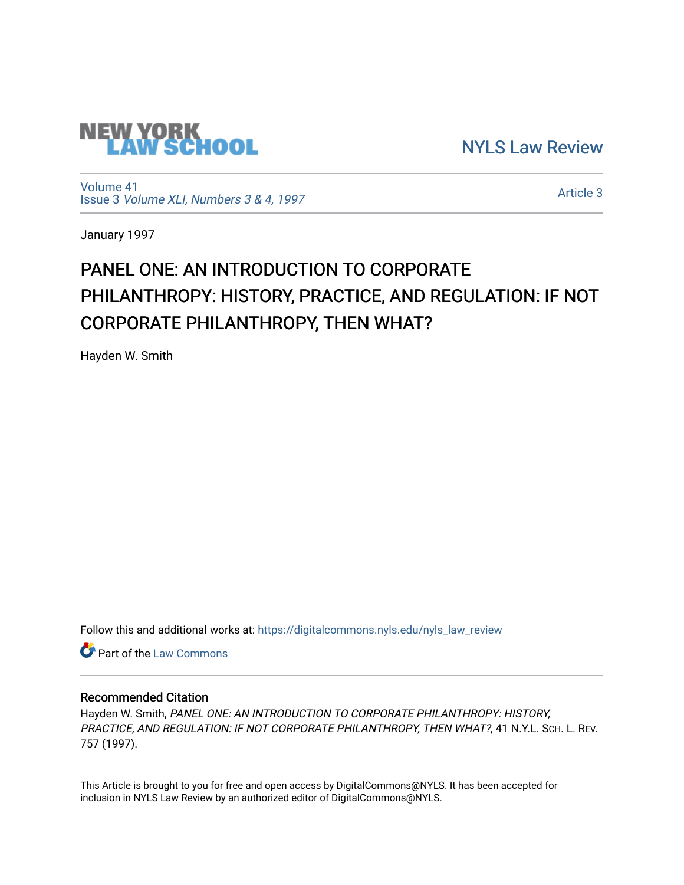

[NYLS Law Review](https://digitalcommons.nyls.edu/nyls_law_review) 

[Volume 41](https://digitalcommons.nyls.edu/nyls_law_review/vol41) Issue 3 [Volume XLI, Numbers 3 & 4, 1997](https://digitalcommons.nyls.edu/nyls_law_review/vol41/iss3)

[Article 3](https://digitalcommons.nyls.edu/nyls_law_review/vol41/iss3/3) 

January 1997

# PANEL ONE: AN INTRODUCTION TO CORPORATE PHILANTHROPY: HISTORY, PRACTICE, AND REGULATION: IF NOT CORPORATE PHILANTHROPY, THEN WHAT?

Hayden W. Smith

Follow this and additional works at: [https://digitalcommons.nyls.edu/nyls\\_law\\_review](https://digitalcommons.nyls.edu/nyls_law_review?utm_source=digitalcommons.nyls.edu%2Fnyls_law_review%2Fvol41%2Fiss3%2F3&utm_medium=PDF&utm_campaign=PDFCoverPages) 

Part of the [Law Commons](https://network.bepress.com/hgg/discipline/578?utm_source=digitalcommons.nyls.edu%2Fnyls_law_review%2Fvol41%2Fiss3%2F3&utm_medium=PDF&utm_campaign=PDFCoverPages)

# Recommended Citation

Hayden W. Smith, PANEL ONE: AN INTRODUCTION TO CORPORATE PHILANTHROPY: HISTORY, PRACTICE, AND REGULATION: IF NOT CORPORATE PHILANTHROPY, THEN WHAT?, 41 N.Y.L. SCH. L. REV. 757 (1997).

This Article is brought to you for free and open access by DigitalCommons@NYLS. It has been accepted for inclusion in NYLS Law Review by an authorized editor of DigitalCommons@NYLS.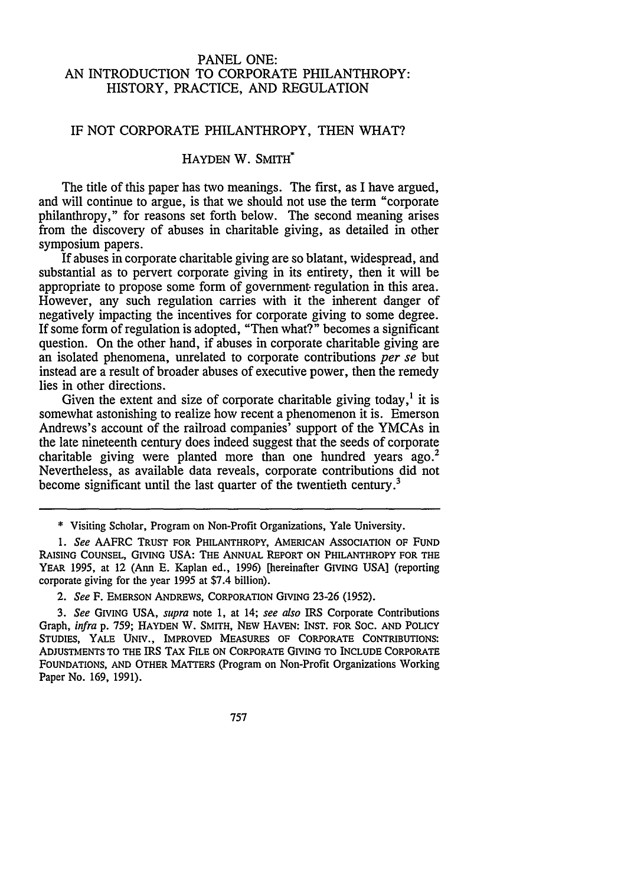## PANEL ONE: AN INTRODUCTION TO CORPORATE PHILANTHROPY: HISTORY, PRACTICE, AND REGULATION

#### IF NOT CORPORATE PHILANTHROPY, THEN WHAT?

# HAYDEN W. SMITH<sup>\*</sup>

The title of this paper has two meanings. The first, as I have argued, and will continue to argue, is that we should not use the term "corporate philanthropy," for reasons set forth below. The second meaning arises from the discovery of abuses in charitable giving, as detailed in other symposium papers.

If abuses in corporate charitable giving are so blatant, widespread, and substantial as to pervert corporate giving in its entirety, then it will be appropriate to propose some form of government- regulation in this area. However, any such regulation carries with it the inherent danger of negatively impacting the incentives for corporate giving to some degree. If some form of regulation is adopted, "Then what?" becomes a significant question. On the other hand, if abuses in corporate charitable giving are an isolated phenomena, unrelated to corporate contributions *per se* but instead are a result of broader abuses of executive power, then the remedy lies in other directions.

Given the extent and size of corporate charitable giving today,<sup>1</sup> it is somewhat astonishing to realize how recent a phenomenon it is. Emerson Andrews's account of the railroad companies' support of the YMCAs in the late nineteenth century does indeed suggest that the seeds of corporate charitable giving were planted more than one hundred years ago.<sup>2</sup> Nevertheless, as available data reveals, corporate contributions did not become significant until the last quarter of the twentieth century.<sup>3</sup>

<sup>\*</sup> Visiting Scholar, Program on Non-Profit Organizations, Yale University.

*<sup>1.</sup> See* AAFRC **TRUST FOR PHILANTHROPY,** AMERICAN ASSOCIATION **OF FUND RAISING COUNSEL, GIVING USA:** THE ANNUAL REPORT **ON** PHILANTHROPY FOR THE YEAR **1995,** at 12 (Ann **E.** Kaplan ed., **1996)** [hereinafter GIVING **USA]** (reporting corporate giving for **the** year **1995** at \$7.4 billion).

*<sup>2.</sup> See* F. **EMERSON ANDREWS, CORPORATION** GIVING **23-26 (1952).**

*<sup>3.</sup> See* **GIVING USA,** *supra* note **1,** at 14; *see also* IRS Corporate Contributions Graph, *infra* **p. 759; HAYDEN** W. SMITH, NEW **HAVEN:** INST. **FOR SOC. AND** POLICY STUDIES, YALE UNIV., IMPROVED **MEASURES** OF CORPORATE CONTRIBUTIONS: **ADJUSTMENTS TO THE** IRS TAX FILE **ON** CORPORATE GIVING TO INCLUDE CORPORATE **FOUNDATIONS, AND OTHER** MATTERS (Program on Non-Profit Organizations Working Paper No. **169, 1991).**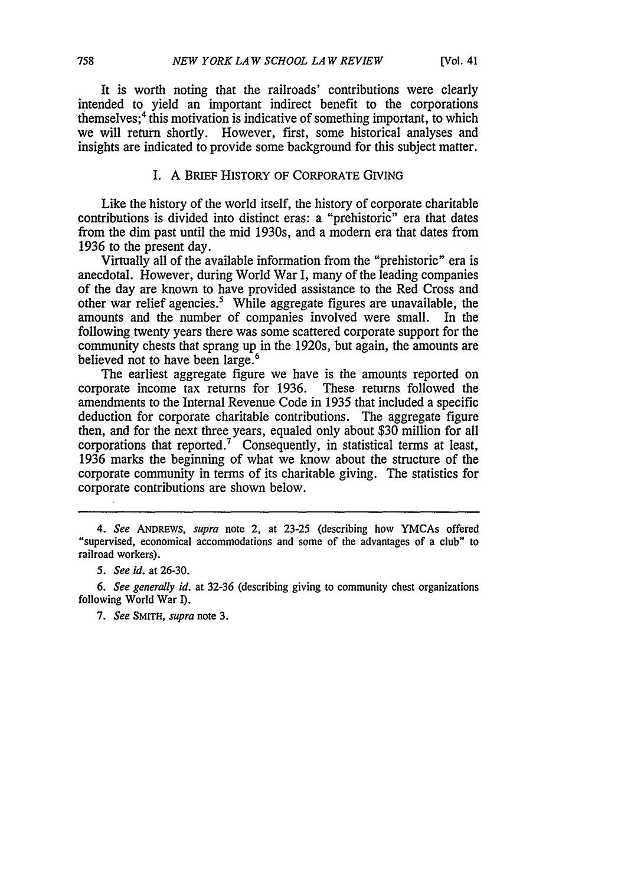It is worth noting that the railroads' contributions were clearly intended to yield an important indirect benefit to the corporations themselves; 4 this motivation is indicative of something important, to which we will return shortly. However, first, some historical analyses and insights are indicated to provide some background for this subject matter.

#### I. A BRIEF HISTORY OF CORPORATE GIVING

Like the history of the world itself, the history of corporate charitable contributions is divided into distinct eras: a "prehistoric" era that dates from the dim past until the mid 1930s, and a modern era that dates from 1936 to the present day.

Virtually all of the available information from the "prehistoric" era is anecdotal. However, during World War I, many of the leading companies of the day are known to have provided assistance to the Red Cross and other war relief agencies.' While aggregate figures are unavailable, the amounts and the number of companies involved were small. In the following twenty years there was some scattered corporate support for the community chests that sprang up in the 1920s, but again, the amounts are believed not to have been large.<sup>6</sup>

The earliest aggregate figure we have is the amounts reported on corporate income tax returns for 1936. These returns followed the amendments to the Internal Revenue Code in 1935 that included a specific deduction for corporate charitable contributions. The aggregate figure then, and for the next three years, equaled only about \$30 million for all corporations that reported.<sup>7</sup> Consequently, in statistical terms at least, 1936 marks the beginning of what we know about the structure of the corporate community in terms of its charitable giving. The statistics for corporate contributions are shown below.

*<sup>4.</sup> See* ANDREWS, *supra* note 2, at 23-25 (describing how YMCAs offered "supervised, economical accommodations and some of the advantages of a club" to railroad workers).

*<sup>5.</sup> See id.* at 26-30.

*<sup>6.</sup> See generally id.* at 32-36 (describing giving to community chest organizations following World War I).

*<sup>7.</sup> See* SMITH, *supra* note 3.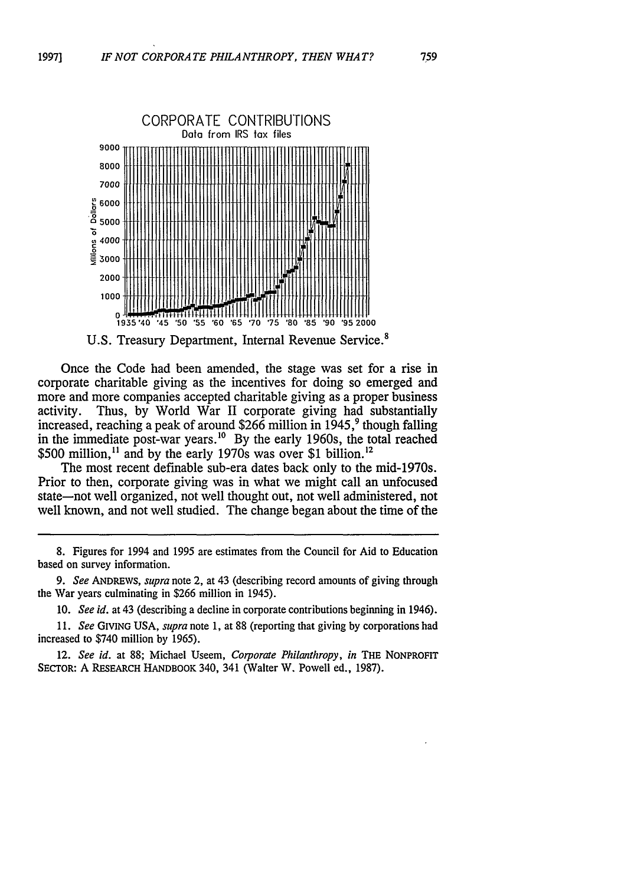**1997]**



U.S. Treasury Department, Internal Revenue Service.<sup>8</sup>

Once the Code had been amended, the stage was set for a rise in corporate charitable giving as the incentives for doing so emerged and more and more companies accepted charitable giving as a proper business activity. Thus, by World War II corporate giving had substantially increased, reaching a peak of around \$266 million in 1945, 9 though falling in the immediate post-war years.<sup>10</sup> By the early 1960s, the total reached \$500 million,<sup>11</sup> and by the early 1970s was over \$1 billion.<sup>12</sup>

The most recent definable sub-era dates back only to the mid-1970s. Prior to then, corporate giving was in what we might call an unfocused state-not well organized, not well thought out, not well administered, not well known, and not well studied. The change began about the time of the

8. Figures for 1994 and 1995 are estimates from the Council for Aid to Education based on survey information.

*9. See* ANDREWS, *supra* note 2, at 43 (describing record amounts of giving through the War years culminating in \$266 million in 1945).

10. *See id.* at 43 (describing a decline in corporate contributions beginning in 1946).

*11. See* GIVING **USA,** *supra* note 1, at 88 (reporting that giving by corporations had increased to \$740 million by 1965).

12. *See id.* at **88;** Michael Useem, *Corporate Philanthropy, in* THE NONPROFIT SECTOR: A RESEARCH HANDBOOK 340, 341 (Walter W. Powell ed., 1987).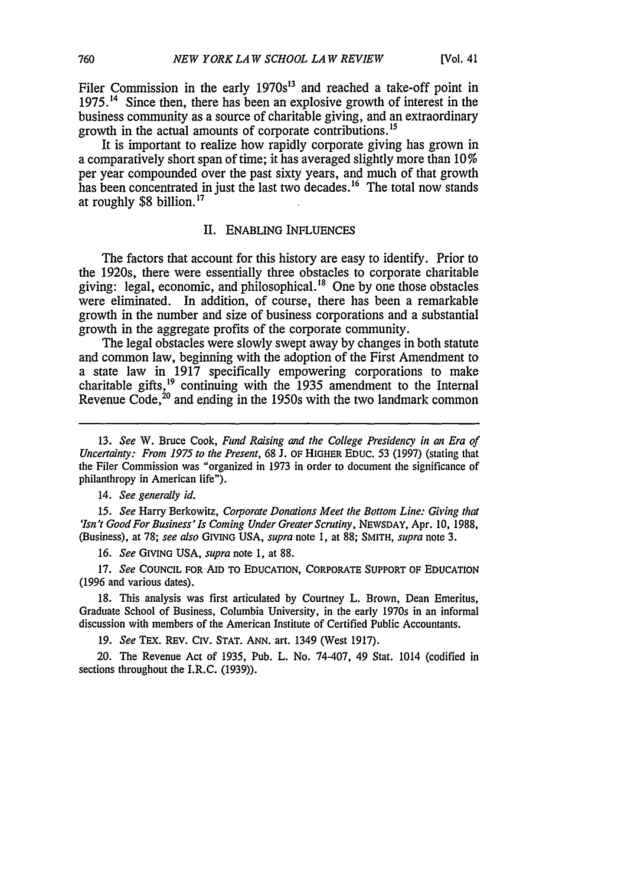Filer Commission in the early  $1970s^{13}$  and reached a take-off point in **1975.14** Since then, there has been an explosive growth of interest in the business community as a source of charitable giving, and an extraordinary growth in the actual amounts of corporate contributions.<sup>15</sup>

It is important to realize how rapidly corporate giving has grown in a comparatively short span of time; it has averaged slightly more than 10 **%** per year compounded over the past sixty years, and much of that growth has been concentrated in just the last two decades.<sup>16</sup> The total now stands at roughly \$8 billion.<sup>17</sup>

#### II. ENABLING INFLUENCES

The factors that account for this history are easy to identify. Prior to the 1920s, there were essentially three obstacles to corporate charitable giving: legal, economic, and philosophical.<sup>18</sup> One by one those obstacles were eliminated. In addition, of course, there has been a remarkable growth in the number and size of business corporations and a substantial growth in the aggregate profits of the corporate community.

The legal obstacles were slowly swept away by changes in both statute and common law, beginning with the adoption of the First Amendment to a state law in 1917 specifically empowering corporations to make charitable gifts,<sup>19</sup> continuing with the 1935 amendment to the Internal Revenue Code, $^{20}$  and ending in the 1950s with the two landmark common

13. *See* W. Bruce Cook, *Fund Raising and the College Presidency in an Era of Uncertainty: From 1975 to the Present,* 68 J. OF HIGHER EDUC. 53 (1997) (stating that the Filer Commission was "organized in 1973 in order to document the significance of philanthropy in American life").

14. *See generally id.*

*15. See* Harry Berkowitz, *Corporate Donations Meet the Bottom Line: Giving that 'Isn't Good For Business'Is Coming Under Greater Scrutiny,* NEWSDAY, Apr. 10, 1988, (Business), at 78; *see also* GIVING USA, *supra* note **1,** at 88; SMITH, *supra* note 3.

*16. See* GIVING USA, *supra* note 1, at 88.

**17.** *See* **COUNCIL** FOR AID TO **EDUCATION,** CORPORATE SUPPORT OF **EDUCATION (1996** and various dates).

**18.** This analysis was first articulated **by** Courtney L. Brown, Dean Emeritus, Graduate School of Business, Columbia University, in the early 1970s in an informal discussion with members of the American Institute of Certified Public Accountants.

19. *See* TEX. REV. Civ. STAT. ANN. art. 1349 (West 1917).

20. The Revenue Act of 1935, Pub. L. No. 74-407, 49 Stat. 1014 (codified in sections throughout the I.R.C. (1939)).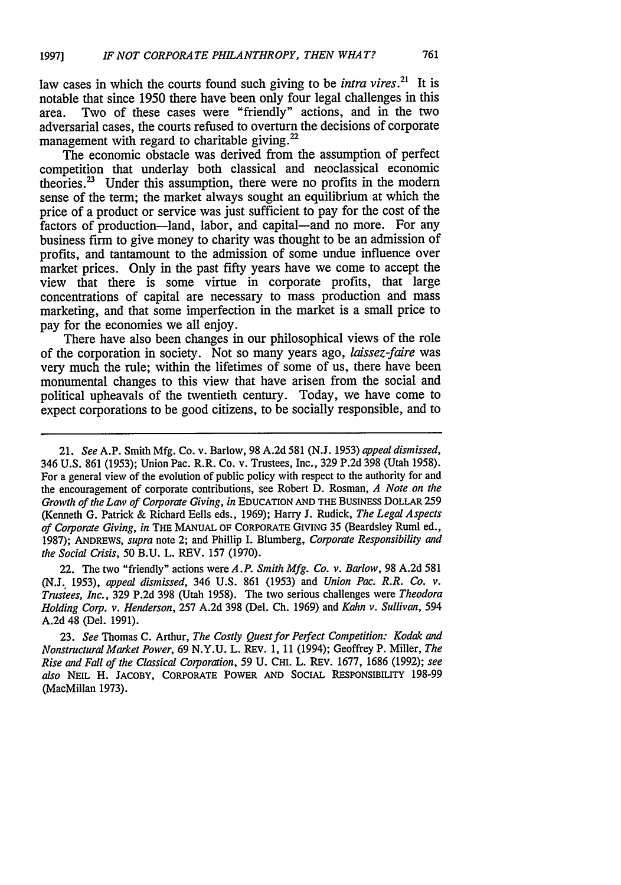law cases in which the courts found such giving to be *intra vires.21* It is notable that since 1950 there have been only four legal challenges in this area. Two of these cases were "friendly" actions, and in the two Two of these cases were "friendly" actions, and in the two adversarial cases, the courts refused to overturn the decisions of corporate management with regard to charitable giving. $^{22}$ 

The economic obstacle was derived from the assumption of perfect competition that underlay both classical and neoclassical economic theories. $^{23}$  Under this assumption, there were no profits in the modern sense of the term; the market always sought an equilibrium at which the price of a product or service was just sufficient to pay for the cost of the factors of production-land, labor, and capital-and no more. For any business firm to give money to charity was thought to be an admission of profits, and tantamount to the admission of some undue influence over market prices. Only in the past fifty years have we come to accept the view that there is some virtue in corporate profits, that large concentrations of capital are necessary to mass production and mass marketing, and that some imperfection in the market is a small price to pay for the economies we all enjoy.

There have also been changes in our philosophical views of the role of the corporation in society. Not so many years ago, *laissez-faire* was very much the rule; within the lifetimes of some of us, there have been monumental changes to this view that have arisen from the social and political upheavals of the twentieth century. Today, we have come to expect corporations to be good citizens, to be socially responsible, and to

22. The two "friendly" actions were *A.P. Smith Mfg. Co. v. Barlow,* 98 A.2d 581 (N.J. 1953), *appeal dismissed,* 346 U.S. 861 (1953) and *Union Pac. R.R. Co. v. Trustees, Inc.,* 329 P.2d 398 (Utah 1958). The two serious challenges were *Theodora Holding Corp. v. Henderson,* 257 A.2d 398 (Del. Ch. 1969) and *Kahn v. Sullivan,* 594 A.2d 48 (Del. 1991).

23. *See* Thomas C. Arthur, *The Costly Quest for Perfect Competition: Kodak and Nonstructural Market Power,* 69 N.Y.U. L. REv. **1,** 11 (1994); Geoffrey P. Miller, *The Rise and Fall of the Classical Corporation,* 59 **U.** CHI. L. REV. 1677, 1686 (1992); *see also* **NEIL** H. JACOBY, CORPORATE **POWER AND** SocIAL RESPONSIBILITY 198-99 (MacMillan 1973).

<sup>21.</sup> *See* A.P. Smith Mfg. Co. v. Barlow, 98 A.2d 581 (N.J. 1953) *appeal dismissed,* 346 U.S. 861 (1953); Union Pac. R.R. Co. v. Trustees, Inc., 329 P.2d 398 (Utah 1958). For a general view of the evolution of public policy with respect to the authority for and the encouragement of corporate contributions, see Robert D. Rosman, *A Note on the Growth of the Law of Corporate Giving, in* EDUCATION **AND** THE BUSINESs DOLLAR 259 (Kenneth G. Patrick & Richard Eells eds., 1969); Harry **J.** Rudick, *The Legal Aspects of Corporate Giving, in* THE **MANUAL** OF CORPORATE GIVING 35 (Beardsley Ruml ed., 1987); **ANDREWS,** *supra* note 2; and Phillip I. Blumberg, *Corporate Responsibility and the Social Crisis,* 50 B.U. L. REV. 157 (1970).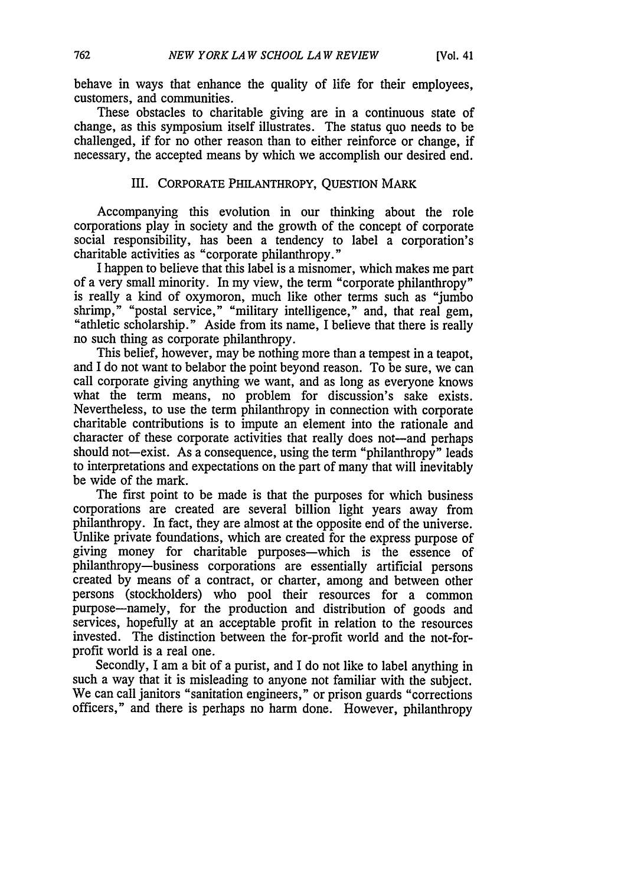behave in ways that enhance the quality of life for their employees, customers, and communities.

These obstacles to charitable giving are in a continuous state of change, as this symposium itself illustrates. The status quo needs to be challenged, if for no other reason than to either reinforce or change, if necessary, the accepted means by which we accomplish our desired end.

#### III. CORPORATE PHILANTHROPY, **QUESTION** MARK

Accompanying this evolution in our thinking about the role corporations play in society and the growth of the concept of corporate social responsibility, has been a tendency to label a corporation's charitable activities as "corporate philanthropy."

I happen to believe that this label is a misnomer, which makes me part of a very small minority. In my view, the term "corporate philanthropy" is really a kind of oxymoron, much like other terms such as "jumbo shrimp," "postal service," "military intelligence," and, that real gem, "athletic scholarship." Aside from its name, I believe that there is really no such thing as corporate philanthropy.

This belief, however, may be nothing more than a tempest in a teapot, and I do not want to belabor the point beyond reason. To be sure, we can call corporate giving anything we want, and as long as everyone knows what the term means, no problem for discussion's sake exists. Nevertheless, to use the term philanthropy in connection with corporate charitable contributions is to impute an element into the rationale and character of these corporate activities that really does not-and perhaps should not—exist. As a consequence, using the term "philanthropy" leads to interpretations and expectations on the part of many that will inevitably be wide of the mark.

The first point to be made is that the purposes for which business corporations are created are several billion light years away from philanthropy. In fact, they are almost at the opposite end of the universe. Unlike private foundations, which are created for the express purpose of giving money for charitable purposes-which is the essence of philanthropy-business corporations are essentially artificial persons created by means of a contract, or charter, among and between other persons (stockholders) who pool their resources for a common purpose-namely, for the production and distribution of goods and services, hopefully at an acceptable profit in relation to the resources invested. The distinction between the for-profit world and the not-forprofit world is a real one.

Secondly, I am a bit of a purist, and I do not like to label anything in such a way that it is misleading to anyone not familiar with the subject. We can call janitors "sanitation engineers," or prison guards "corrections" officers," and there is perhaps no harm done. However, philanthropy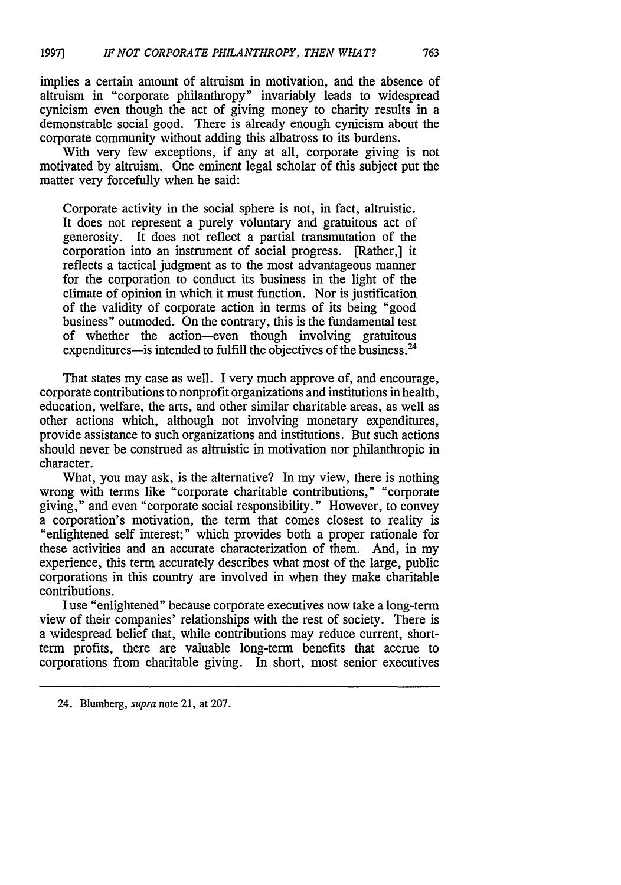implies a certain amount of altruism in motivation, and the absence of altruism in "corporate philanthropy" invariably leads to widespread cynicism even though the act of giving money to charity results in a demonstrable social good. There is already enough cynicism about the corporate community without adding this albatross to its burdens.

With very few exceptions, if any at all, corporate giving is not motivated by altruism. One eminent legal scholar of this subject put the matter very forcefully when he said:

Corporate activity in the social sphere is not, in fact, altruistic. It does not represent a purely voluntary and gratuitous act of generosity. It does not reflect a partial transmutation of the corporation into an instrument of social progress. [Rather,] it reflects a tactical judgment as to the most advantageous manner for the corporation to conduct its business in the light of the climate of opinion in which it must function. Nor is justification of the validity of corporate action in terms of its being "good business" outmoded. On the contrary, this is the fundamental test of whether the action-even though involving gratuitous expenditures-is intended to fulfill the objectives of the business.<sup>24</sup>

That states my case as well. I very much approve of, and encourage, corporate contributions to nonprofit organizations and institutions in health, education, welfare, the arts, and other similar charitable areas, as well as other actions which, although not involving monetary expenditures, provide assistance to such organizations and institutions. But such actions should never be construed as altruistic in motivation nor philanthropic in character.

What, you may ask, is the alternative? In my view, there is nothing wrong with terms like "corporate charitable contributions," "corporate giving," and even "corporate social responsibility." However, to convey a corporation's motivation, the term that comes closest to reality is "enlightened self interest;" which provides both a proper rationale for these activities and an accurate characterization of them. And, in my experience, this term accurately describes what most of the large, public corporations in this country are involved in when they make charitable contributions.

I use "enlightened" because corporate executives now take a long-term view of their companies' relationships with the rest of society. There is a widespread belief that, while contributions may reduce current, shortterm profits, there are valuable long-term benefits that accrue to corporations from charitable giving. In short, most senior executives

<sup>24.</sup> Blumberg, *supra* note 21, at 207.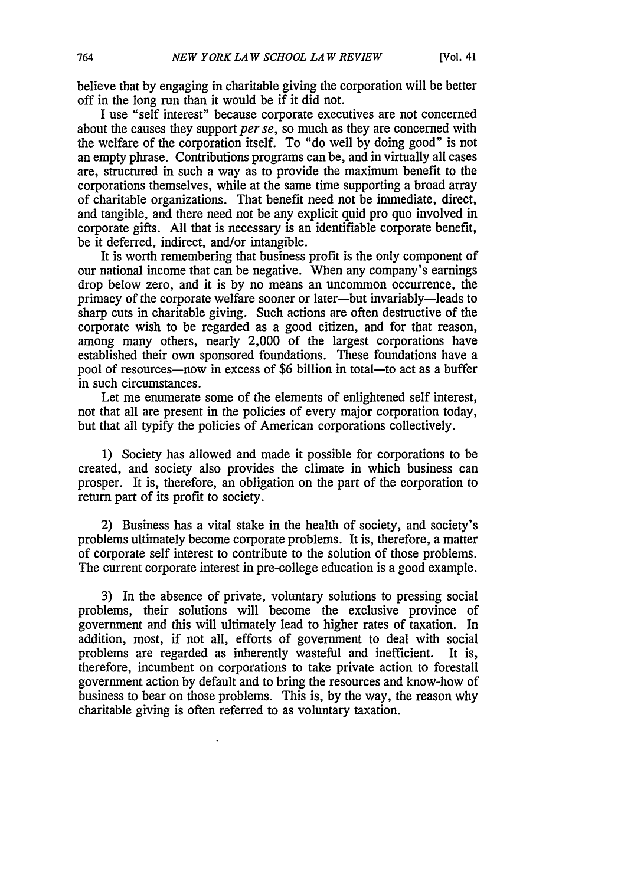believe that by engaging in charitable giving the corporation will be better off in the long run than it would be if it did not.

I use "self interest" because corporate executives are not concerned about the causes they support *per se,* so much as they are concerned with the welfare of the corporation itself. To "do well by doing good" is not an empty phrase. Contributions programs can be, and in virtually all cases are, structured in such a way as to provide the maximum benefit to the corporations themselves, while at the same time supporting a broad array of charitable organizations. That benefit need not be immediate, direct, and tangible, and there need not be any explicit quid pro quo involved in corporate gifts. All that is necessary is an identifiable corporate benefit, be it deferred, indirect, and/or intangible.

It is worth remembering that business profit is the only component of our national income that can be negative. When any company's earnings drop below zero, and it is by no means an uncommon occurrence, the primacy of the corporate welfare sooner or later-but invariably-leads to sharp cuts in charitable giving. Such actions are often destructive of the corporate wish to be regarded as a good citizen, and for that reason, among many others, nearly 2,000 of the largest corporations have established their own sponsored foundations. These foundations have a pool of resources—now in excess of \$6 billion in total—to act as a buffer in such circumstances.

Let me enumerate some of the elements of enlightened self interest, not that all are present in the policies of every major corporation today, but that all typify the policies of American corporations collectively.

1) Society has allowed and made it possible for corporations to be created, and society also provides the climate in which business can prosper. It is, therefore, an obligation on the part of the corporation to return part of its profit to society.

2) Business has a vital stake in the health of society, and society's problems ultimately become corporate problems. It is, therefore, a matter of corporate self interest to contribute to the solution of those problems. The current corporate interest in pre-college education is a good example.

3) In the absence of private, voluntary solutions to pressing social problems, their solutions will become the exclusive province of government and this will ultimately lead to higher rates of taxation. In addition, most, if not all, efforts of government to deal with social problems are regarded as inherently wasteful and inefficient. It is, therefore, incumbent on corporations to take private action to forestall government action by default and to bring the resources and know-how of business to bear on those problems. This is, by the way, the reason why charitable giving is often referred to as voluntary taxation.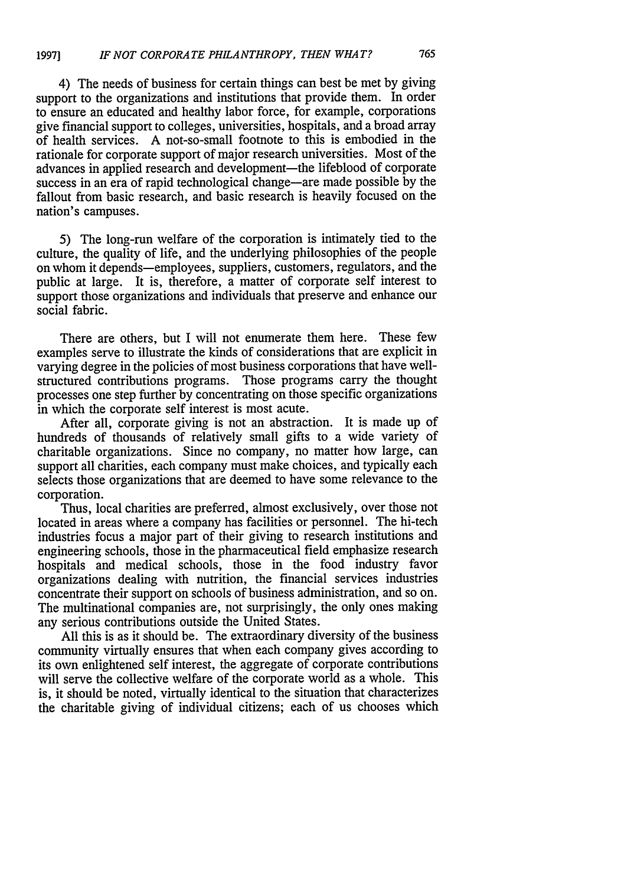## 4) The needs of business for certain things can best be met by giving support to the organizations and institutions that provide them. In order to ensure an educated and healthy labor force, for example, corporations give financial support to colleges, universities, hospitals, and a broad array of health services. A not-so-small footnote to this is embodied in the rationale for corporate support of major research universities. Most of the advances in applied research and development-the lifeblood of corporate success in an era of rapid technological change—are made possible by the fallout from basic research, and basic research is heavily focused on the nation's campuses.

**5)** The long-run welfare of the corporation is intimately tied to the culture, the quality of life, and the underlying philosophies of the people on whom it depends-employees, suppliers, customers, regulators, and the public at large. It is, therefore, a matter of corporate self interest to support those organizations and individuals that preserve and enhance our social fabric.

There are others, but I will not enumerate them here. These few examples serve to illustrate the kinds of considerations that are explicit in varying degree in the policies of most business corporations that have wellstructured contributions programs. Those programs carry the thought processes one step further by concentrating on those specific organizations in which the corporate self interest is most acute.

After all, corporate giving is not an abstraction. It is made up of hundreds of thousands of relatively small gifts to a wide variety of charitable organizations. Since no company, no matter how large, can support all charities, each company must make choices, and typically each selects those organizations that are deemed to have some relevance to the corporation.

Thus, local charities are preferred, almost exclusively, over those not located in areas where a company has facilities or personnel. The hi-tech industries focus a major part of their giving to research institutions and engineering schools, those in the pharmaceutical field emphasize research hospitals and medical schools, those in the food industry favor organizations dealing with nutrition, the financial services industries concentrate their support on schools of business administration, and so on. The multinational companies are, not surprisingly, the only ones making any serious contributions outside the United States.

All this is as it should be. The extraordinary diversity of the business community virtually ensures that when each company gives according to its own enlightened self interest, the aggregate of corporate contributions will serve the collective welfare of the corporate world as a whole. This is, it should be noted, virtually identical to the situation that characterizes the charitable giving of individual citizens; each of us chooses which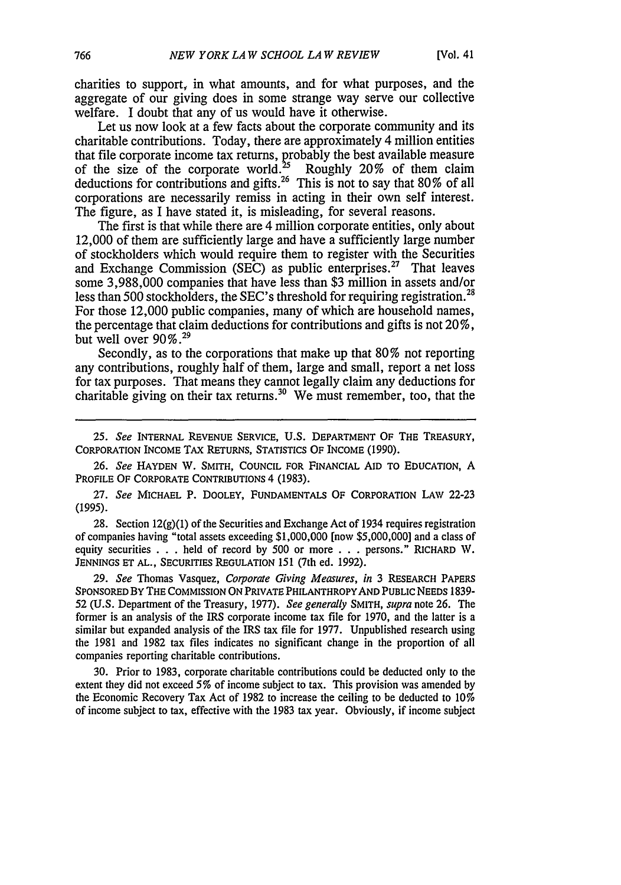charities to support, in what amounts, and for what purposes, and the aggregate of our giving does in some strange way serve our collective welfare. I doubt that any of us would have it otherwise.

Let us now look at a few facts about the corporate community and its charitable contributions. Today, there are approximately 4 million entities that file corporate income tax returns, probably the best available measure of the size of the corporate world.<sup>25</sup> Roughly 20% of them claim of the size of the corporate world. $25$ deductions for contributions and gifts.<sup>26</sup> This is not to say that 80% of all corporations are necessarily remiss in acting in their own self interest. The figure, as I have stated it, is misleading, for several reasons.

The first is that while there are 4 million corporate entities, only about 12,000 of them are sufficiently large and have a sufficiently large number of stockholders which would require them to register with the Securities and Exchange Commission (SEC) as public enterprises.<sup>27</sup> That leaves some 3,988,000 companies that have less than \$3 million in assets and/or less than 500 stockholders, the SEC's threshold for requiring registration.<sup>28</sup> For those 12,000 public companies, many of which are household names, the percentage that claim deductions for contributions and gifts is not  $20\%$ , but well over 90%.<sup>29</sup>

Secondly, as to the corporations that make up that 80% not reporting any contributions, roughly half of them, large and small, report a net loss for tax purposes. That means they cannot legally claim any deductions for charitable giving on their tax returns.<sup>30</sup> We must remember, too, that the

*25. See* INTERNAL REVENUE SERVICE, U.S. DEPARTMENT OF THE TREASURY, CORPORATION INCOME TAx RETURNS, STATISTICS OF INCOME **(1990).**

26. *See* HAYDEN W. SMITH, **COUNCIL** FOR FINANCIAL AID TO **EDUCATION,** A PROFILE OF CORPORATE CONTRIBUTIONS 4 (1983).

27. *See* MICHAEL P. DOOLEY, FUNDAMENTALS OF CORPORATION LAW 22-23 (1995).

28. Section 12(g)(1) of the Securities and Exchange Act of 1934 requires registration of companies having "total assets exceeding \$1,000,000 [now \$5,000,000] and a class of equity securities . . . held of record by 500 or more . . . persons." RICHARD W. **JENNINGS ET AL.,** SECURITIES REGULATION 151 (7th ed. 1992).

29. *See* Thomas Vasquez, *Corporate Giving Measures, in* 3 RESEARCH PAPERS SPONSORED BY THE COMMISSION **ON** PRIVATE PHILANTHROPYAND PUBLIC **NEEDS** 1839- 52 (U.S. Department of the Treasury, 1977). *See generally* SMITH, *supra* note 26. The former is an analysis of the IRS corporate income tax file for 1970, and the latter is a similar but expanded analysis of the IRS tax file for 1977. Unpublished research using the 1981 and 1982 tax files indicates no significant change in the proportion of all companies reporting charitable contributions.

30. Prior to 1983, corporate charitable contributions could be deducted only to the extent they did not exceed 5% of income subject to tax. This provision was amended by the Economic Recovery Tax Act of 1982 to increase the ceiling to be deducted to 10% of income subject to tax, effective with the 1983 tax year. Obviously, if income subject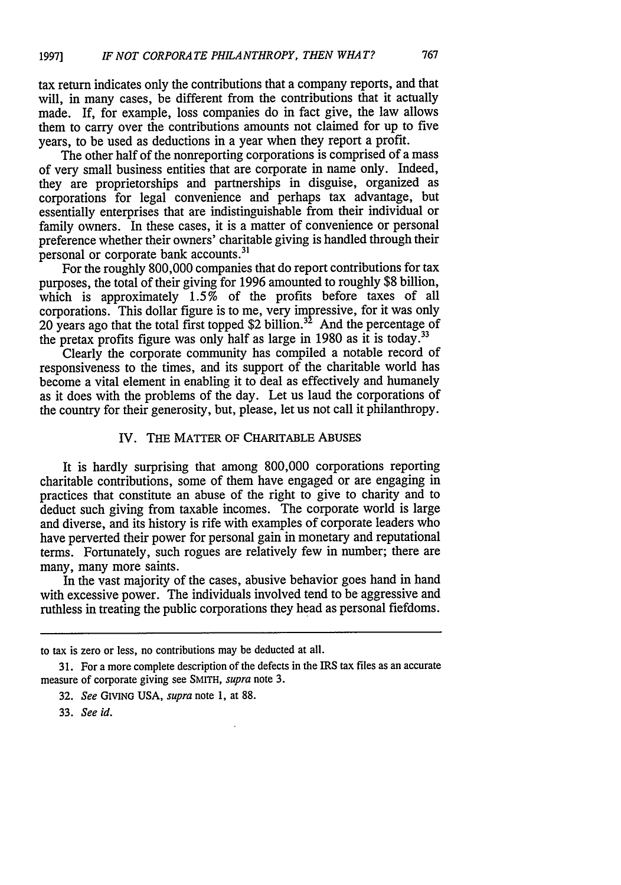tax return indicates only the contributions that a company reports, and that will, in many cases, be different from the contributions that it actually made. If, for example, loss companies do in fact give, the law allows them to carry over the contributions amounts not claimed for up to five years, to be used as deductions in a year when they report a profit.

The other half of the nonreporting corporations is comprised of a mass of very small business entities that are corporate in name only. Indeed, they are proprietorships and partnerships in disguise, organized as corporations for legal convenience and perhaps tax advantage, but essentially enterprises that are indistinguishable from their individual or family owners. In these cases, it is a matter of convenience or personal preference whether their owners' charitable giving is handled through their personal or corporate bank accounts. 3'

For the roughly 800,000 companies that do report contributions for tax purposes, the total of their giving for 1996 amounted to roughly \$8 billion, which is approximately  $1.5\%$  of the profits before taxes of all corporations. This dollar figure is to me, very impressive, for it was only 20 years ago that the total first topped  $$2$  billion.<sup>32</sup> And the percentage of the pretax profits figure was only half as large in 1980 as it is today.<sup>33</sup>

Clearly the corporate community has compiled a notable record of responsiveness to the times, and its support of the charitable world has become a vital element in enabling it to deal as effectively and humanely as it does with the problems of the day. Let us laud the corporations of the country for their generosity, but, please, let us not call it philanthropy.

#### IV. THE MATTER OF CHARITABLE ABUSES

It is hardly surprising that among 800,000 corporations reporting charitable contributions, some of them have engaged or are engaging in practices that constitute an abuse of the right to give to charity and to deduct such giving from taxable incomes. The corporate world is large and diverse, and its history is rife with examples of corporate leaders who have perverted their power for personal gain in monetary and reputational terms. Fortunately, such rogues are relatively few in number; there are many, many more saints.

In the vast majority of the cases, abusive behavior goes hand in hand with excessive power. The individuals involved tend to be aggressive and ruthless in treating the public corporations they head as personal fiefdoms.

to tax is zero or less, no contributions may be deducted at all.

<sup>31.</sup> For a more complete description of the defects in the IRS tax files as an accurate measure of corporate giving see SMITH, supra note 3.

<sup>32.</sup> See GIVING USA, supra note 1, at 88.

<sup>33.</sup> See *id.*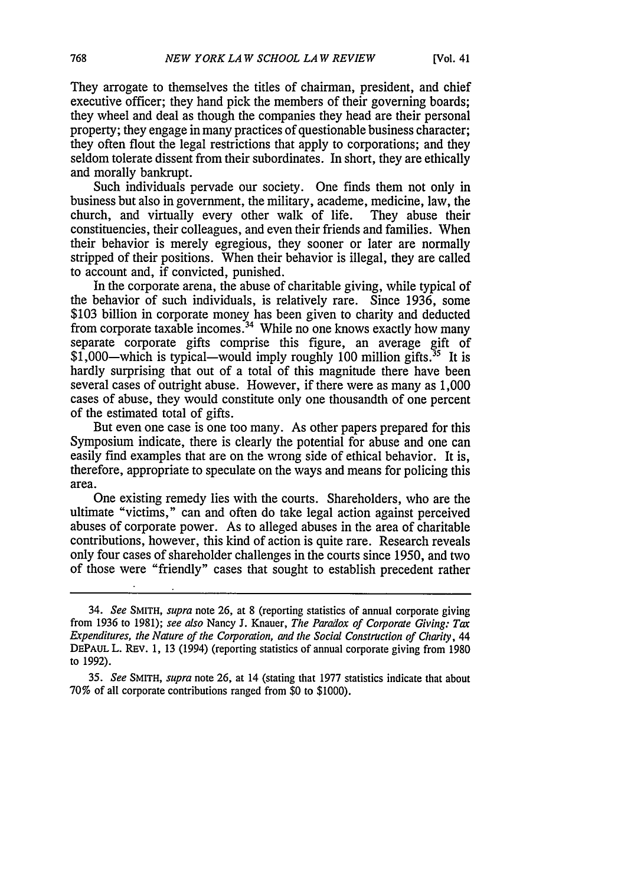They arrogate to themselves the titles of chairman, president, and chief executive officer; they hand pick the members of their governing boards; they wheel and deal as though the companies they head are their personal property; they engage in many practices of questionable business character; they often flout the legal restrictions that apply to corporations; and they seldom tolerate dissent from their subordinates. In short, they are ethically and morally bankrupt.

Such individuals pervade our society. One finds them not only in business but also in government, the military, academe, medicine, law, the church, and virtually every other walk of life. They abuse their constituencies, their colleagues, and even their friends and families. When their behavior is merely egregious, they sooner or later are normally stripped of their positions. When their behavior is illegal, they are called to account and, if convicted, punished.

In the corporate arena, the abuse of charitable giving, while typical of the behavior of such individuals, is relatively rare. Since 1936, some \$103 billion in corporate money has been given to charity and deducted from corporate taxable incomes.<sup>34</sup> While no one knows exactly how many separate corporate gifts comprise this figure, an average gift of  $$1,000$ —which is typical—would imply roughly 100 million gifts.<sup>35</sup> It is hardly surprising that out of a total of this magnitude there have been several cases of outright abuse. However, if there were as many as 1,000 cases of abuse, they would constitute only one thousandth of one percent of the estimated total of gifts.

But even one case is one too many. As other papers prepared for this Symposium indicate, there is clearly the potential for abuse and one can easily find examples that are on the wrong side of ethical behavior. It is, therefore, appropriate to speculate on the ways and means for policing this area.

One existing remedy lies with the courts. Shareholders, who are the ultimate "victims," can and often do take legal action against perceived abuses of corporate power. As to alleged abuses in the area of charitable contributions, however, this kind of action is quite rare. Research reveals only four cases of shareholder challenges in the courts since 1950, and two of those were "friendly" cases that sought to establish precedent rather

<sup>34.</sup> *See* SMITH, *supra* note 26, at 8 (reporting statistics of annual corporate giving from 1936 to 1981); *see also* Nancy J. Knauer, *The Paradox of Corporate Giving: Tax Expenditures, the Nature of the Corporation, and the Social Construction of Charity, 44* DEPAUL L. REv. 1, 13 (1994) (reporting statistics of annual corporate giving from 1980 to 1992).

*<sup>35.</sup> See* SMITH, *supra* note 26, at 14 (stating that 1977 statistics indicate that about 70% of all corporate contributions ranged from \$0 to \$1000).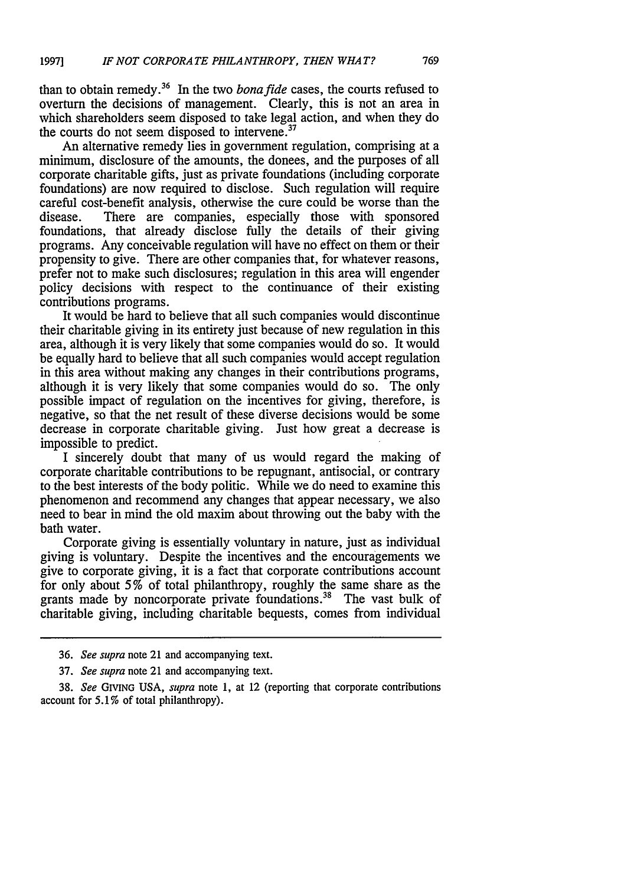than to obtain remedy.36 In the two *bonafide* cases, the courts refused to overturn the decisions of management. Clearly, this is not an area in which shareholders seem disposed to take legal action, and when they do the courts do not seem disposed to intervene.<sup>37</sup>

An alternative remedy lies in government regulation, comprising at a minimum, disclosure of the amounts, the donees, and the purposes of all corporate charitable gifts, just as private foundations (including corporate foundations) are now required to disclose. Such regulation will require careful cost-benefit analysis, otherwise the cure could be worse than the disease. There are companies, especially those with sponsored foundations, that already disclose fully the details of their giving programs. Any conceivable regulation will have no effect on them or their propensity to give. There are other companies that, for whatever reasons, prefer not to make such disclosures; regulation in this area will engender policy decisions with respect to the continuance of their existing contributions programs.

It would be hard to believe that all such companies would discontinue their charitable giving in its entirety just because of new regulation in this area, although it is very likely that some companies would do so. It would be equally hard to believe that all such companies would accept regulation in this area without making any changes in their contributions programs, although it is very likely that some companies would do so. The only possible impact of regulation on the incentives for giving, therefore, is negative, so that the net result of these diverse decisions would be some decrease in corporate charitable giving. Just how great a decrease is impossible to predict.

I sincerely doubt that many of us would regard the making of corporate charitable contributions to be repugnant, antisocial, or contrary to the best interests of the body politic. While we do need to examine this phenomenon and recommend any changes that appear necessary, we also need to bear in mind the old maxim about throwing out the baby with the bath water.

Corporate giving is essentially voluntary in nature, just as individual giving is voluntary. Despite the incentives and the encouragements we give to corporate giving, it is a fact that corporate contributions account for only about 5% of total philanthropy, roughly the same share as the grants made by noncorporate private foundations.<sup>38</sup> The vast bulk of charitable giving, including charitable bequests, comes from individual

<sup>36.</sup> *See supra* note 21 and accompanying text.

<sup>37.</sup> *See supra* note 21 and accompanying text.

<sup>38.</sup> *See* GIVING USA, *supra* note 1, at 12 (reporting that corporate contributions account for 5.1% of total philanthropy).